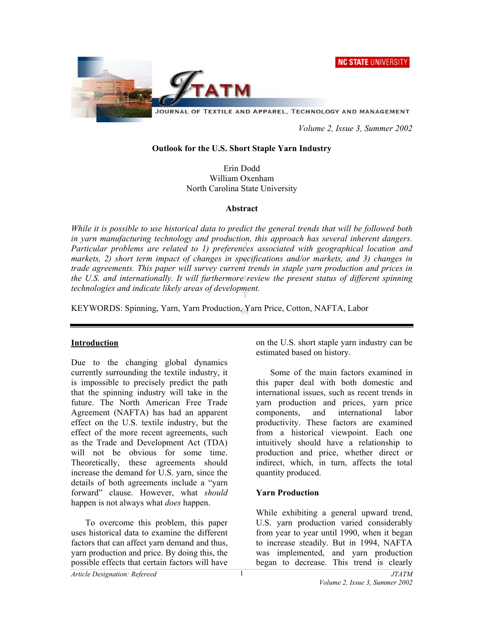**NC STATE UNIVERSITY** 



 *Volume 2, Issue 3, Summer 2002* 

#### **Outlook for the U.S. Short Staple Yarn Industry**

Erin Dodd William Oxenham North Carolina State University

#### **Abstract**

*While it is possible to use historical data to predict the general trends that will be followed both in yarn manufacturing technology and production, this approach has several inherent dangers. Particular problems are related to 1) preferences associated with geographical location and markets, 2) short term impact of changes in specifications and/or markets, and 3) changes in trade agreements. This paper will survey current trends in staple yarn production and prices in the U.S. and internationally. It will furthermore review the present status of different spinning technologies and indicate likely areas of development.* 

KEYWORDS: Spinning, Yarn, Yarn Production, Yarn Price, Cotton, NAFTA, Labor

#### **Introduction**

Due to the changing global dynamics currently surrounding the textile industry, it is impossible to precisely predict the path that the spinning industry will take in the future. The North American Free Trade Agreement (NAFTA) has had an apparent effect on the U.S. textile industry, but the effect of the more recent agreements, such as the Trade and Development Act (TDA) will not be obvious for some time. Theoretically, these agreements should increase the demand for U.S. yarn, since the details of both agreements include a "yarn forward" clause. However, what *should* happen is not always what *does* happen.

To overcome this problem, this paper uses historical data to examine the different factors that can affect yarn demand and thus, yarn production and price. By doing this, the possible effects that certain factors will have

on the U.S. short staple yarn industry can be estimated based on history.

Some of the main factors examined in this paper deal with both domestic and international issues, such as recent trends in yarn production and prices, yarn price components, and international labor productivity. These factors are examined from a historical viewpoint. Each one intuitively should have a relationship to production and price, whether direct or indirect, which, in turn, affects the total quantity produced.

## **Yarn Production**

While exhibiting a general upward trend, U.S. yarn production varied considerably from year to year until 1990, when it began to increase steadily. But in 1994, NAFTA was implemented, and yarn production began to decrease. This trend is clearly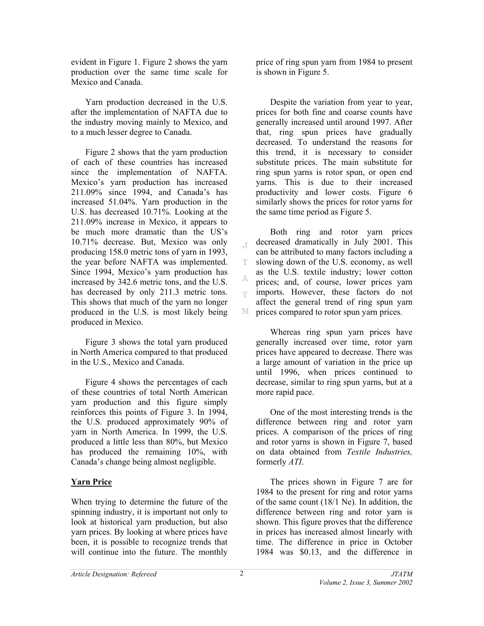evident in Figure 1. Figure 2 shows the yarn production over the same time scale for Mexico and Canada.

Yarn production decreased in the U.S. after the implementation of NAFTA due to the industry moving mainly to Mexico, and to a much lesser degree to Canada.

Figure 2 shows that the yarn production of each of these countries has increased since the implementation of NAFTA. Mexico's yarn production has increased 211.09% since 1994, and Canada's has increased 51.04%. Yarn production in the U.S. has decreased 10.71%. Looking at the 211.09% increase in Mexico, it appears to be much more dramatic than the US's 10.71% decrease. But, Mexico was only producing 158.0 metric tons of yarn in 1993, the year before NAFTA was implemented. Since 1994, Mexico's yarn production has increased by 342.6 metric tons, and the U.S. has decreased by only 211.3 metric tons. This shows that much of the yarn no longer produced in the U.S. is most likely being produced in Mexico.

Figure 3 shows the total yarn produced in North America compared to that produced in the U.S., Mexico and Canada.

Figure 4 shows the percentages of each of these countries of total North American yarn production and this figure simply reinforces this points of Figure 3. In 1994, the U.S. produced approximately 90% of yarn in North America. In 1999, the U.S. produced a little less than 80%, but Mexico has produced the remaining 10%, with Canada's change being almost negligible.

# **Yarn Price**

When trying to determine the future of the spinning industry, it is important not only to look at historical yarn production, but also yarn prices. By looking at where prices have been, it is possible to recognize trends that will continue into the future. The monthly

price of ring spun yarn from 1984 to present is shown in Figure 5.

Despite the variation from year to year, prices for both fine and coarse counts have generally increased until around 1997. After that, ring spun prices have gradually decreased. To understand the reasons for this trend, it is necessary to consider substitute prices. The main substitute for ring spun yarns is rotor spun, or open end yarns. This is due to their increased productivity and lower costs. Figure 6 similarly shows the prices for rotor yarns for the same time period as Figure 5.

Both ring and rotor yarn prices decreased dramatically in July 2001. This  $\mathbb T$ can be attributed to many factors including a slowing down of the U.S. economy, as well T as the U.S. textile industry; lower cotton A prices; and, of course, lower prices yarn imports. However, these factors do not egs. affect the general trend of ring spun yarn M. prices compared to rotor spun yarn prices.

Whereas ring spun yarn prices have generally increased over time, rotor yarn prices have appeared to decrease. There was a large amount of variation in the price up until 1996, when prices continued to decrease, similar to ring spun yarns, but at a more rapid pace.

One of the most interesting trends is the difference between ring and rotor yarn prices. A comparison of the prices of ring and rotor yarns is shown in Figure 7, based on data obtained from *Textile Industries,*  formerly *ATI*.

The prices shown in Figure 7 are for 1984 to the present for ring and rotor yarns of the same count (18/1 Ne). In addition, the difference between ring and rotor yarn is shown. This figure proves that the difference in prices has increased almost linearly with time. The difference in price in October 1984 was \$0.13, and the difference in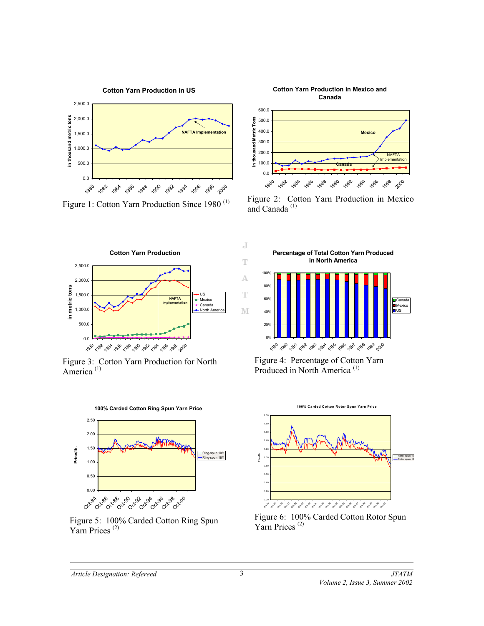

Figure 1: Cotton Yarn Production Since 1980 (1)





Figure 2: Cotton Yarn Production in Mexico and Canada (1)



Figure 3: Cotton Yarn Production for North America<sup>(1)</sup>



Figure 5: 100% Carded Cotton Ring Spun Yarn Prices<sup>(2)</sup>



Figure 4: Percentage of Cotton Yarn Produced in North America<sup>(1)</sup>



Figure 6: 100% Carded Cotton Rotor Spun Yarn Prices<sup>(2)</sup>

J

T

A

T

M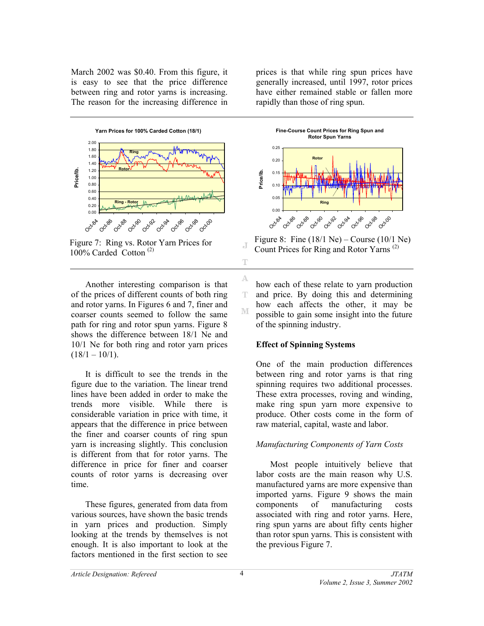March 2002 was \$0.40. From this figure, it is easy to see that the price difference between ring and rotor yarns is increasing. The reason for the increasing difference in



Figure 7: Ring vs. Rotor Yarn Prices for 100% Carded Cotton<sup>(2)</sup>

Another interesting comparison is that of the prices of different counts of both ring and rotor yarns. In Figures 6 and 7, finer and coarser counts seemed to follow the same path for ring and rotor spun yarns. Figure 8 shows the difference between 18/1 Ne and 10/1 Ne for both ring and rotor yarn prices  $(18/1 - 10/1)$ .

It is difficult to see the trends in the figure due to the variation. The linear trend lines have been added in order to make the trends more visible. While there is considerable variation in price with time, it appears that the difference in price between the finer and coarser counts of ring spun yarn is increasing slightly. This conclusion is different from that for rotor yarns. The difference in price for finer and coarser counts of rotor yarns is decreasing over time.

These figures, generated from data from various sources, have shown the basic trends in yarn prices and production. Simply looking at the trends by themselves is not enough. It is also important to look at the factors mentioned in the first section to see

prices is that while ring spun prices have generally increased, until 1997, rotor prices have either remained stable or fallen more rapidly than those of ring spun.



Figure 8: Fine (18/1 Ne) – Course (10/1 Ne) Count Prices for Ring and Rotor Yarns (2)

how each of these relate to yarn production and price. By doing this and determining how each affects the other, it may be possible to gain some insight into the future of the spinning industry.

#### **Effect of Spinning Systems**

One of the main production differences between ring and rotor yarns is that ring spinning requires two additional processes. These extra processes, roving and winding, make ring spun yarn more expensive to produce. Other costs come in the form of raw material, capital, waste and labor.

#### *Manufacturing Components of Yarn Costs*

Most people intuitively believe that labor costs are the main reason why U.S. manufactured yarns are more expensive than imported yarns. Figure 9 shows the main components of manufacturing costs associated with ring and rotor yarns. Here, ring spun yarns are about fifty cents higher than rotor spun yarns. This is consistent with the previous Figure 7.

J

T

A Ŧ

M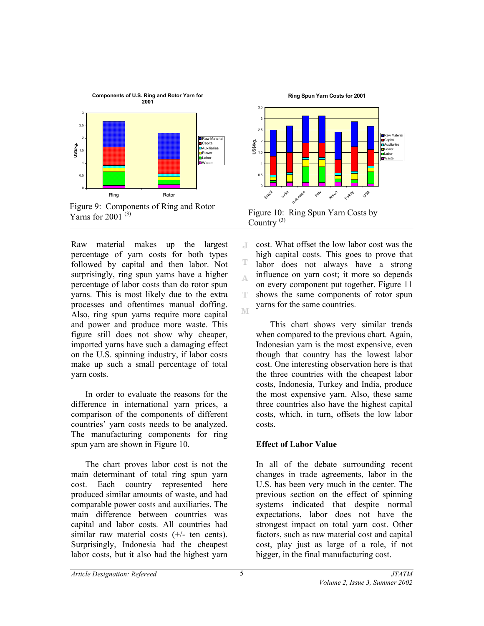

Figure 9: Components of Ring and Rotor Yarns for  $2001^{(3)}$ 

Raw material makes up the largest percentage of yarn costs for both types followed by capital and then labor. Not surprisingly, ring spun yarns have a higher percentage of labor costs than do rotor spun yarns. This is most likely due to the extra processes and oftentimes manual doffing. Also, ring spun yarns require more capital and power and produce more waste. This figure still does not show why cheaper, imported yarns have such a damaging effect on the U.S. spinning industry, if labor costs make up such a small percentage of total yarn costs.

In order to evaluate the reasons for the difference in international yarn prices, a comparison of the components of different countries' yarn costs needs to be analyzed. The manufacturing components for ring spun yarn are shown in Figure 10.

The chart proves labor cost is not the main determinant of total ring spun yarn cost. Each country represented here produced similar amounts of waste, and had comparable power costs and auxiliaries. The main difference between countries was capital and labor costs. All countries had similar raw material costs (+/- ten cents). Surprisingly, Indonesia had the cheapest labor costs, but it also had the highest yarn



Figure 10: Ring Spun Yarn Costs by Country  $^{(3)}$ 

cost. What offset the low labor cost was the  $\mathcal{A}^{\mathcal{A}}$ high capital costs. This goes to prove that T labor does not always have a strong influence on yarn cost; it more so depends A. on every component put together. Figure 11 shows the same components of rotor spun Ŧ yarns for the same countries. M

This chart shows very similar trends when compared to the previous chart. Again, Indonesian yarn is the most expensive, even though that country has the lowest labor cost. One interesting observation here is that the three countries with the cheapest labor costs, Indonesia, Turkey and India, produce the most expensive yarn. Also, these same three countries also have the highest capital costs, which, in turn, offsets the low labor costs.

## **Effect of Labor Value**

In all of the debate surrounding recent changes in trade agreements, labor in the U.S. has been very much in the center. The previous section on the effect of spinning systems indicated that despite normal expectations, labor does not have the strongest impact on total yarn cost. Other factors, such as raw material cost and capital cost, play just as large of a role, if not bigger, in the final manufacturing cost.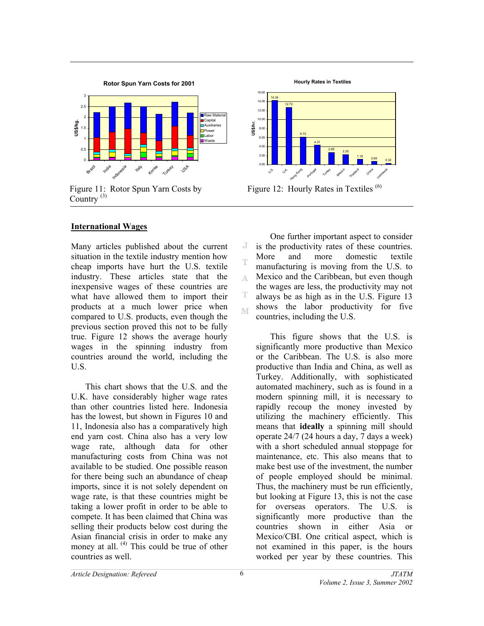

Figure 11: Rotor Spun Yarn Costs by Country  $(3)$ 

## **International Wages**

Many articles published about the current situation in the textile industry mention how cheap imports have hurt the U.S. textile industry. These articles state that the inexpensive wages of these countries are what have allowed them to import their products at a much lower price when compared to U.S. products, even though the previous section proved this not to be fully true. Figure 12 shows the average hourly wages in the spinning industry from countries around the world, including the U.S.

This chart shows that the U.S. and the U.K. have considerably higher wage rates than other countries listed here. Indonesia has the lowest, but shown in Figures 10 and 11, Indonesia also has a comparatively high end yarn cost. China also has a very low wage rate, although data for other manufacturing costs from China was not available to be studied. One possible reason for there being such an abundance of cheap imports, since it is not solely dependent on wage rate, is that these countries might be taking a lower profit in order to be able to compete. It has been claimed that China was selling their products below cost during the Asian financial crisis in order to make any money at all.<sup>(4)</sup> This could be true of other countries as well.



Figure 12: Hourly Rates in Textiles <sup>(6)</sup>

One further important aspect to consider al. is the productivity rates of these countries. More and more domestic textile T manufacturing is moving from the U.S. to Mexico and the Caribbean, but even though A. the wages are less, the productivity may not T always be as high as in the U.S. Figure 13 shows the labor productivity for five M countries, including the U.S.

This figure shows that the U.S. is significantly more productive than Mexico or the Caribbean. The U.S. is also more productive than India and China, as well as Turkey. Additionally, with sophisticated automated machinery, such as is found in a modern spinning mill, it is necessary to rapidly recoup the money invested by utilizing the machinery efficiently. This means that **ideally** a spinning mill should operate 24/7 (24 hours a day, 7 days a week) with a short scheduled annual stoppage for maintenance, etc. This also means that to make best use of the investment, the number of people employed should be minimal. Thus, the machinery must be run efficiently, but looking at Figure 13, this is not the case for overseas operators. The U.S. is significantly more productive than the countries shown in either Asia or Mexico/CBI. One critical aspect, which is not examined in this paper, is the hours worked per year by these countries. This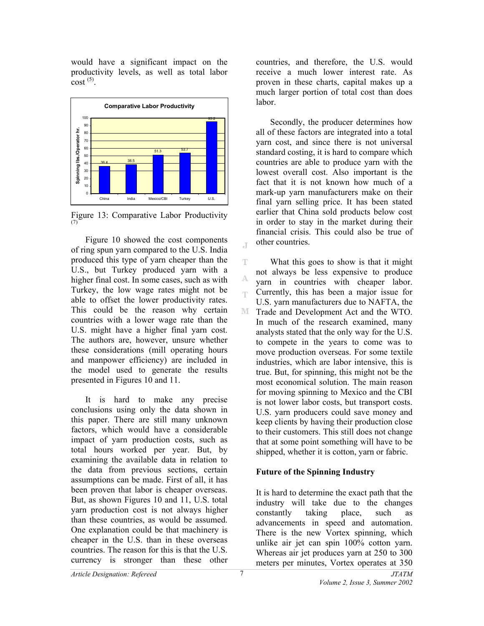would have a significant impact on the productivity levels, as well as total labor  $cost^{(5)}$ .



Figure 13: Comparative Labor Productivity (7)

Figure 10 showed the cost components of ring spun yarn compared to the U.S. India produced this type of yarn cheaper than the U.S., but Turkey produced yarn with a higher final cost. In some cases, such as with Turkey, the low wage rates might not be able to offset the lower productivity rates. This could be the reason why certain countries with a lower wage rate than the U.S. might have a higher final yarn cost. The authors are, however, unsure whether these considerations (mill operating hours and manpower efficiency) are included in the model used to generate the results presented in Figures 10 and 11.

It is hard to make any precise conclusions using only the data shown in this paper. There are still many unknown factors, which would have a considerable impact of yarn production costs, such as total hours worked per year. But, by examining the available data in relation to the data from previous sections, certain assumptions can be made. First of all, it has been proven that labor is cheaper overseas. But, as shown Figures 10 and 11, U.S. total yarn production cost is not always higher than these countries, as would be assumed. One explanation could be that machinery is cheaper in the U.S. than in these overseas countries. The reason for this is that the U.S. currency is stronger than these other

countries, and therefore, the U.S. would receive a much lower interest rate. As proven in these charts, capital makes up a much larger portion of total cost than does labor.

Secondly, the producer determines how all of these factors are integrated into a total yarn cost, and since there is not universal standard costing, it is hard to compare which countries are able to produce yarn with the lowest overall cost. Also important is the fact that it is not known how much of a mark-up yarn manufacturers make on their final yarn selling price. It has been stated earlier that China sold products below cost in order to stay in the market during their financial crisis. This could also be true of other countries.

What this goes to show is that it might not always be less expensive to produce yarn in countries with cheaper labor. Currently, this has been a major issue for U.S. yarn manufacturers due to NAFTA, the M. Trade and Development Act and the WTO. In much of the research examined, many analysts stated that the only way for the U.S. to compete in the years to come was to move production overseas. For some textile industries, which are labor intensive, this is true. But, for spinning, this might not be the most economical solution. The main reason for moving spinning to Mexico and the CBI is not lower labor costs, but transport costs. U.S. yarn producers could save money and keep clients by having their production close to their customers. This still does not change that at some point something will have to be shipped, whether it is cotton, yarn or fabric.

# **Future of the Spinning Industry**

It is hard to determine the exact path that the industry will take due to the changes constantly taking place, such as advancements in speed and automation. There is the new Vortex spinning, which unlike air jet can spin 100% cotton yarn. Whereas air jet produces yarn at 250 to 300 meters per minutes, Vortex operates at 350

 $\mathbb{I}$ 

T

А m